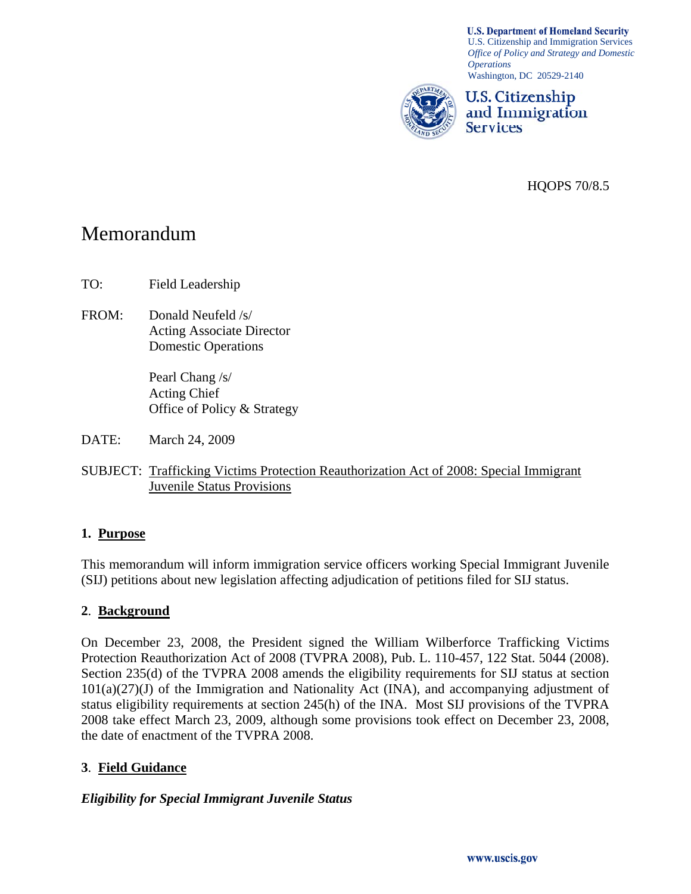**U.S. Department of Homeland Security** U.S. Citizenship and Immigration Services *Office of Policy and Strategy and Domestic Operations*  Washington, DC 20529-2140



HQOPS 70/8.5

# Memorandum

TO: Field Leadership

FROM: Donald Neufeld /s/ Acting Associate Director Domestic Operations

> Pearl Chang /s/ Acting Chief Office of Policy & Strategy

DATE: March 24, 2009

SUBJECT: Trafficking Victims Protection Reauthorization Act of 2008: Special Immigrant Juvenile Status Provisions

#### **1. Purpose**

This memorandum will inform immigration service officers working Special Immigrant Juvenile (SIJ) petitions about new legislation affecting adjudication of petitions filed for SIJ status.

#### **2**. **Background**

On December 23, 2008, the President signed the William Wilberforce Trafficking Victims Protection Reauthorization Act of 2008 (TVPRA 2008), Pub. L. 110-457, 122 Stat. 5044 (2008). Section 235(d) of the TVPRA 2008 amends the eligibility requirements for SIJ status at section  $101(a)(27)(J)$  of the Immigration and Nationality Act (INA), and accompanying adjustment of status eligibility requirements at section 245(h) of the INA. Most SIJ provisions of the TVPRA 2008 take effect March 23, 2009, although some provisions took effect on December 23, 2008, the date of enactment of the TVPRA 2008.

#### **3**. **Field Guidance**

#### *Eligibility for Special Immigrant Juvenile Status*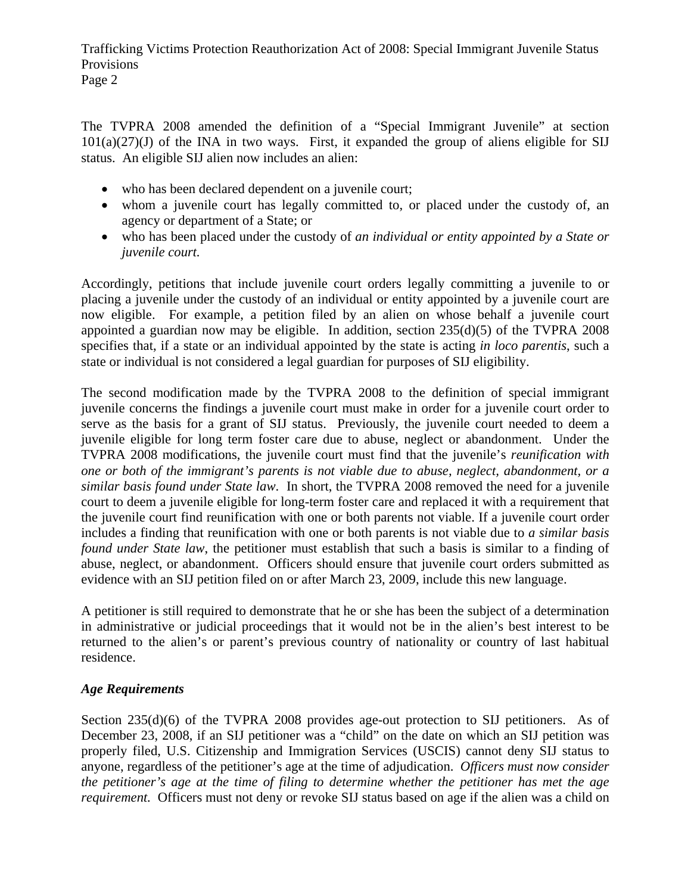Trafficking Victims Protection Reauthorization Act of 2008: Special Immigrant Juvenile Status Provisions

Page 2

The TVPRA 2008 amended the definition of a "Special Immigrant Juvenile" at section  $101(a)(27)(J)$  of the INA in two ways. First, it expanded the group of aliens eligible for SIJ status. An eligible SIJ alien now includes an alien:

- who has been declared dependent on a juvenile court;
- whom a juvenile court has legally committed to, or placed under the custody of, an agency or department of a State; or
- who has been placed under the custody of *an individual or entity appointed by a State or juvenile court.*

Accordingly, petitions that include juvenile court orders legally committing a juvenile to or placing a juvenile under the custody of an individual or entity appointed by a juvenile court are now eligible. For example, a petition filed by an alien on whose behalf a juvenile court appointed a guardian now may be eligible. In addition, section 235(d)(5) of the TVPRA 2008 specifies that, if a state or an individual appointed by the state is acting *in loco parentis*, such a state or individual is not considered a legal guardian for purposes of SIJ eligibility.

The second modification made by the TVPRA 2008 to the definition of special immigrant juvenile concerns the findings a juvenile court must make in order for a juvenile court order to serve as the basis for a grant of SIJ status. Previously, the juvenile court needed to deem a juvenile eligible for long term foster care due to abuse, neglect or abandonment. Under the TVPRA 2008 modifications, the juvenile court must find that the juvenile's *reunification with one or both of the immigrant's parents is not viable due to abuse, neglect, abandonment, or a similar basis found under State law*. In short, the TVPRA 2008 removed the need for a juvenile court to deem a juvenile eligible for long-term foster care and replaced it with a requirement that the juvenile court find reunification with one or both parents not viable. If a juvenile court order includes a finding that reunification with one or both parents is not viable due to *a similar basis found under State law*, the petitioner must establish that such a basis is similar to a finding of abuse, neglect, or abandonment. Officers should ensure that juvenile court orders submitted as evidence with an SIJ petition filed on or after March 23, 2009, include this new language.

A petitioner is still required to demonstrate that he or she has been the subject of a determination in administrative or judicial proceedings that it would not be in the alien's best interest to be returned to the alien's or parent's previous country of nationality or country of last habitual residence.

## *Age Requirements*

Section 235(d)(6) of the TVPRA 2008 provides age-out protection to SIJ petitioners. As of December 23, 2008, if an SIJ petitioner was a "child" on the date on which an SIJ petition was properly filed, U.S. Citizenship and Immigration Services (USCIS) cannot deny SIJ status to anyone, regardless of the petitioner's age at the time of adjudication. *Officers must now consider the petitioner's age at the time of filing to determine whether the petitioner has met the age requirement.* Officers must not deny or revoke SIJ status based on age if the alien was a child on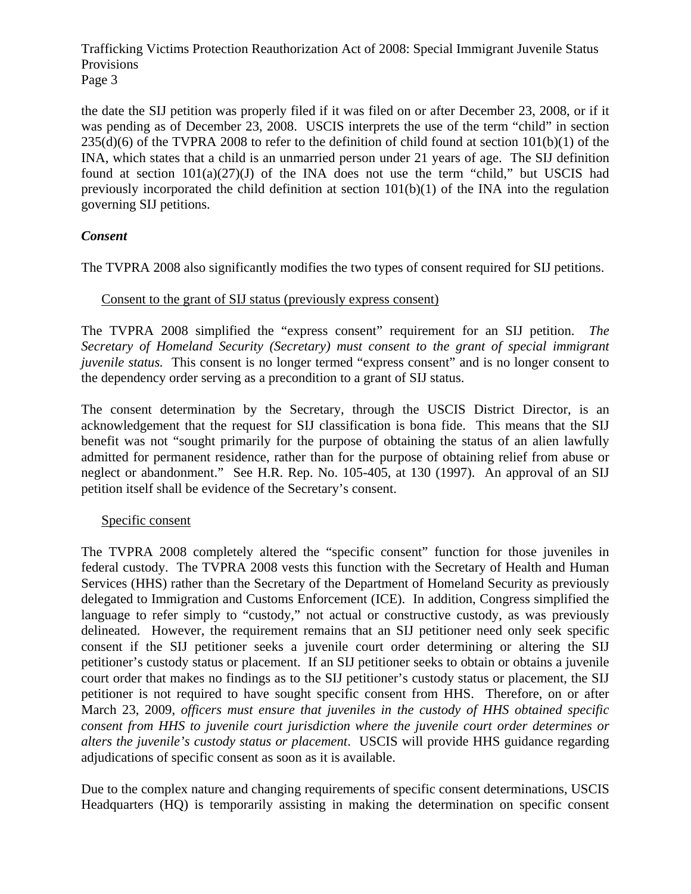Trafficking Victims Protection Reauthorization Act of 2008: Special Immigrant Juvenile Status Provisions Page 3

the date the SIJ petition was properly filed if it was filed on or after December 23, 2008, or if it was pending as of December 23, 2008. USCIS interprets the use of the term "child" in section  $235(d)(6)$  of the TVPRA 2008 to refer to the definition of child found at section  $101(b)(1)$  of the INA, which states that a child is an unmarried person under 21 years of age. The SIJ definition found at section  $101(a)(27)(J)$  of the INA does not use the term "child," but USCIS had previously incorporated the child definition at section  $101(b)(1)$  of the INA into the regulation governing SIJ petitions.

## *Consent*

The TVPRA 2008 also significantly modifies the two types of consent required for SIJ petitions.

#### Consent to the grant of SIJ status (previously express consent)

The TVPRA 2008 simplified the "express consent" requirement for an SIJ petition. *The Secretary of Homeland Security (Secretary) must consent to the grant of special immigrant juvenile status.* This consent is no longer termed "express consent" and is no longer consent to the dependency order serving as a precondition to a grant of SIJ status.

The consent determination by the Secretary, through the USCIS District Director, is an acknowledgement that the request for SIJ classification is bona fide. This means that the SIJ benefit was not "sought primarily for the purpose of obtaining the status of an alien lawfully admitted for permanent residence, rather than for the purpose of obtaining relief from abuse or neglect or abandonment." See H.R. Rep. No. 105-405, at 130 (1997). An approval of an SIJ petition itself shall be evidence of the Secretary's consent.

#### Specific consent

The TVPRA 2008 completely altered the "specific consent" function for those juveniles in federal custody. The TVPRA 2008 vests this function with the Secretary of Health and Human Services (HHS) rather than the Secretary of the Department of Homeland Security as previously delegated to Immigration and Customs Enforcement (ICE). In addition, Congress simplified the language to refer simply to "custody," not actual or constructive custody, as was previously delineated. However, the requirement remains that an SIJ petitioner need only seek specific consent if the SIJ petitioner seeks a juvenile court order determining or altering the SIJ petitioner's custody status or placement. If an SIJ petitioner seeks to obtain or obtains a juvenile court order that makes no findings as to the SIJ petitioner's custody status or placement, the SIJ petitioner is not required to have sought specific consent from HHS. Therefore, on or after March 23, 2009, *officers must ensure that juveniles in the custody of HHS obtained specific consent from HHS to juvenile court jurisdiction where the juvenile court order determines or alters the juvenile's custody status or placement*. USCIS will provide HHS guidance regarding adjudications of specific consent as soon as it is available.

Due to the complex nature and changing requirements of specific consent determinations, USCIS Headquarters (HQ) is temporarily assisting in making the determination on specific consent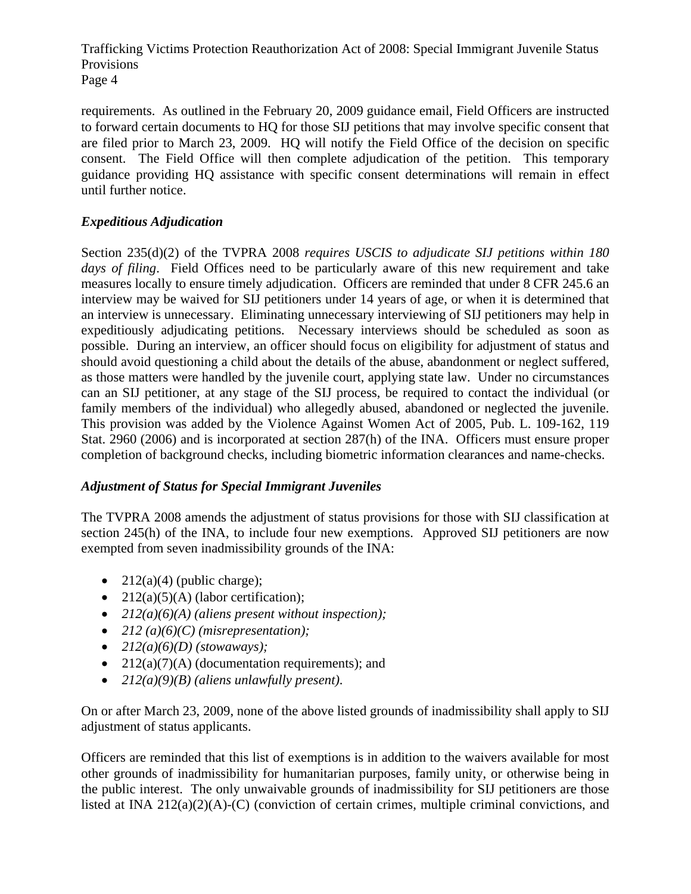Trafficking Victims Protection Reauthorization Act of 2008: Special Immigrant Juvenile Status Provisions Page 4

requirements. As outlined in the February 20, 2009 guidance email, Field Officers are instructed to forward certain documents to HQ for those SIJ petitions that may involve specific consent that are filed prior to March 23, 2009. HQ will notify the Field Office of the decision on specific consent. The Field Office will then complete adjudication of the petition. This temporary guidance providing HQ assistance with specific consent determinations will remain in effect until further notice.

## *Expeditious Adjudication*

Section 235(d)(2) of the TVPRA 2008 *requires USCIS to adjudicate SIJ petitions within 180 days of filing*. Field Offices need to be particularly aware of this new requirement and take measures locally to ensure timely adjudication. Officers are reminded that under 8 CFR 245.6 an interview may be waived for SIJ petitioners under 14 years of age, or when it is determined that an interview is unnecessary. Eliminating unnecessary interviewing of SIJ petitioners may help in expeditiously adjudicating petitions. Necessary interviews should be scheduled as soon as possible. During an interview, an officer should focus on eligibility for adjustment of status and should avoid questioning a child about the details of the abuse, abandonment or neglect suffered, as those matters were handled by the juvenile court, applying state law. Under no circumstances can an SIJ petitioner, at any stage of the SIJ process, be required to contact the individual (or family members of the individual) who allegedly abused, abandoned or neglected the juvenile. This provision was added by the Violence Against Women Act of 2005, Pub. L. 109-162, 119 Stat. 2960 (2006) and is incorporated at section 287(h) of the INA. Officers must ensure proper completion of background checks, including biometric information clearances and name-checks.

#### *Adjustment of Status for Special Immigrant Juveniles*

The TVPRA 2008 amends the adjustment of status provisions for those with SIJ classification at section 245(h) of the INA, to include four new exemptions. Approved SIJ petitioners are now exempted from seven inadmissibility grounds of the INA:

- $212(a)(4)$  (public charge);
- $212(a)(5)(A)$  (labor certification);
- *212(a)(6)(A) (aliens present without inspection);*
- *212 (a)(6)(C) (misrepresentation);*
- $\bullet$  *212(a)(6)(D) (stowaways);*
- $212(a)(7)(A)$  (documentation requirements); and
- *212(a)(9)(B) (aliens unlawfully present)*.

On or after March 23, 2009, none of the above listed grounds of inadmissibility shall apply to SIJ adjustment of status applicants.

Officers are reminded that this list of exemptions is in addition to the waivers available for most other grounds of inadmissibility for humanitarian purposes, family unity, or otherwise being in the public interest. The only unwaivable grounds of inadmissibility for SIJ petitioners are those listed at INA 212(a)(2)(A)-(C) (conviction of certain crimes, multiple criminal convictions, and